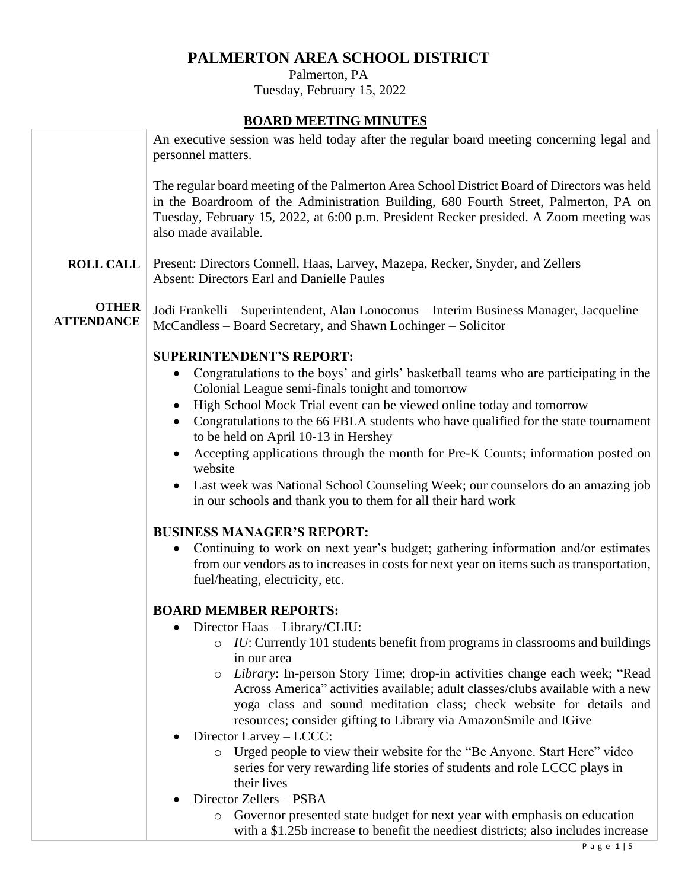# **PALMERTON AREA SCHOOL DISTRICT**

## Palmerton, PA Tuesday, February 15, 2022

# **BOARD MEETING MINUTES**

|                                   | <u>DUAND MEETING MINUTES</u>                                                                                                                                                                                                                                                                          |  |  |  |  |
|-----------------------------------|-------------------------------------------------------------------------------------------------------------------------------------------------------------------------------------------------------------------------------------------------------------------------------------------------------|--|--|--|--|
|                                   | An executive session was held today after the regular board meeting concerning legal and<br>personnel matters.                                                                                                                                                                                        |  |  |  |  |
|                                   | The regular board meeting of the Palmerton Area School District Board of Directors was held<br>in the Boardroom of the Administration Building, 680 Fourth Street, Palmerton, PA on<br>Tuesday, February 15, 2022, at 6:00 p.m. President Recker presided. A Zoom meeting was<br>also made available. |  |  |  |  |
| <b>ROLL CALL</b>                  | Present: Directors Connell, Haas, Larvey, Mazepa, Recker, Snyder, and Zellers<br><b>Absent: Directors Earl and Danielle Paules</b>                                                                                                                                                                    |  |  |  |  |
| <b>OTHER</b><br><b>ATTENDANCE</b> | Jodi Frankelli – Superintendent, Alan Lonoconus – Interim Business Manager, Jacqueline<br>McCandless - Board Secretary, and Shawn Lochinger - Solicitor                                                                                                                                               |  |  |  |  |
|                                   |                                                                                                                                                                                                                                                                                                       |  |  |  |  |
|                                   | <b>SUPERINTENDENT'S REPORT:</b>                                                                                                                                                                                                                                                                       |  |  |  |  |
|                                   | Congratulations to the boys' and girls' basketball teams who are participating in the<br>Colonial League semi-finals tonight and tomorrow                                                                                                                                                             |  |  |  |  |
|                                   | High School Mock Trial event can be viewed online today and tomorrow<br>$\bullet$                                                                                                                                                                                                                     |  |  |  |  |
|                                   | Congratulations to the 66 FBLA students who have qualified for the state tournament<br>$\bullet$<br>to be held on April 10-13 in Hershey                                                                                                                                                              |  |  |  |  |
|                                   | Accepting applications through the month for Pre-K Counts; information posted on<br>website                                                                                                                                                                                                           |  |  |  |  |
|                                   | Last week was National School Counseling Week; our counselors do an amazing job<br>in our schools and thank you to them for all their hard work                                                                                                                                                       |  |  |  |  |
|                                   |                                                                                                                                                                                                                                                                                                       |  |  |  |  |
|                                   | <b>BUSINESS MANAGER'S REPORT:</b>                                                                                                                                                                                                                                                                     |  |  |  |  |
|                                   | Continuing to work on next year's budget; gathering information and/or estimates                                                                                                                                                                                                                      |  |  |  |  |
|                                   | from our vendors as to increases in costs for next year on items such as transportation,                                                                                                                                                                                                              |  |  |  |  |
|                                   | fuel/heating, electricity, etc.                                                                                                                                                                                                                                                                       |  |  |  |  |
| <b>BOARD MEMBER REPORTS:</b>      |                                                                                                                                                                                                                                                                                                       |  |  |  |  |
|                                   | Director Haas - Library/CLIU:                                                                                                                                                                                                                                                                         |  |  |  |  |
|                                   | IU: Currently 101 students benefit from programs in classrooms and buildings<br>$\circ$                                                                                                                                                                                                               |  |  |  |  |
|                                   | in our area                                                                                                                                                                                                                                                                                           |  |  |  |  |
|                                   | Library: In-person Story Time; drop-in activities change each week; "Read<br>$\circ$                                                                                                                                                                                                                  |  |  |  |  |
|                                   | Across America" activities available; adult classes/clubs available with a new                                                                                                                                                                                                                        |  |  |  |  |
|                                   | yoga class and sound meditation class; check website for details and<br>resources; consider gifting to Library via AmazonSmile and IGive                                                                                                                                                              |  |  |  |  |
|                                   | Director Larvey – LCCC:                                                                                                                                                                                                                                                                               |  |  |  |  |
|                                   | Urged people to view their website for the "Be Anyone. Start Here" video<br>$\circ$                                                                                                                                                                                                                   |  |  |  |  |
|                                   | series for very rewarding life stories of students and role LCCC plays in<br>their lives                                                                                                                                                                                                              |  |  |  |  |
|                                   | Director Zellers - PSBA                                                                                                                                                                                                                                                                               |  |  |  |  |
|                                   | Governor presented state budget for next year with emphasis on education<br>$\circ$                                                                                                                                                                                                                   |  |  |  |  |
|                                   | with a \$1.25b increase to benefit the neediest districts; also includes increase                                                                                                                                                                                                                     |  |  |  |  |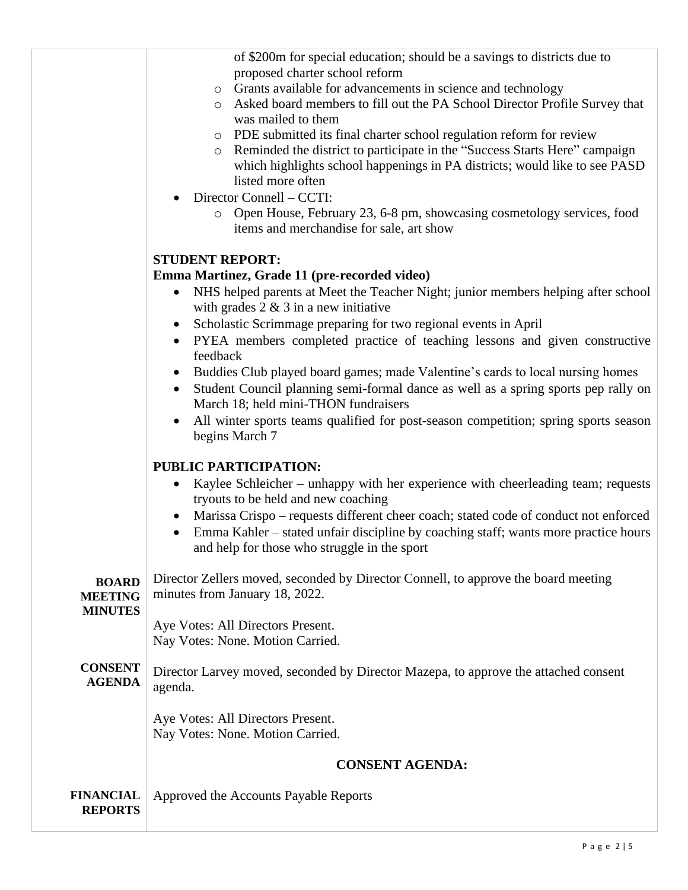of \$200m for special education; should be a savings to districts due to proposed charter school reform

- o Grants available for advancements in science and technology
- o Asked board members to fill out the PA School Director Profile Survey that was mailed to them
- o PDE submitted its final charter school regulation reform for review
- o Reminded the district to participate in the "Success Starts Here" campaign which highlights school happenings in PA districts; would like to see PASD listed more often
- Director Connell CCTI:
	- o Open House, February 23, 6-8 pm, showcasing cosmetology services, food items and merchandise for sale, art show

### **STUDENT REPORT:**

#### **Emma Martinez, Grade 11 (pre-recorded video)**

- NHS helped parents at Meet the Teacher Night; junior members helping after school with grades  $2 \& 3$  in a new initiative
- Scholastic Scrimmage preparing for two regional events in April
- PYEA members completed practice of teaching lessons and given constructive feedback
- Buddies Club played board games; made Valentine's cards to local nursing homes
- Student Council planning semi-formal dance as well as a spring sports pep rally on March 18; held mini-THON fundraisers
- All winter sports teams qualified for post-season competition; spring sports season begins March 7

#### **PUBLIC PARTICIPATION:**

- Kaylee Schleicher unhappy with her experience with cheerleading team; requests tryouts to be held and new coaching
- Marissa Crispo requests different cheer coach; stated code of conduct not enforced
- Emma Kahler stated unfair discipline by coaching staff; wants more practice hours and help for those who struggle in the sport

**BOARD MEETING MINUTES CONSENT AGENDA FINANCIAL REPORTS** Director Zellers moved, seconded by Director Connell, to approve the board meeting minutes from January 18, 2022. Aye Votes: All Directors Present. Nay Votes: None. Motion Carried. Director Larvey moved, seconded by Director Mazepa, to approve the attached consent agenda. Aye Votes: All Directors Present. Nay Votes: None. Motion Carried. **CONSENT AGENDA:** Approved the Accounts Payable Reports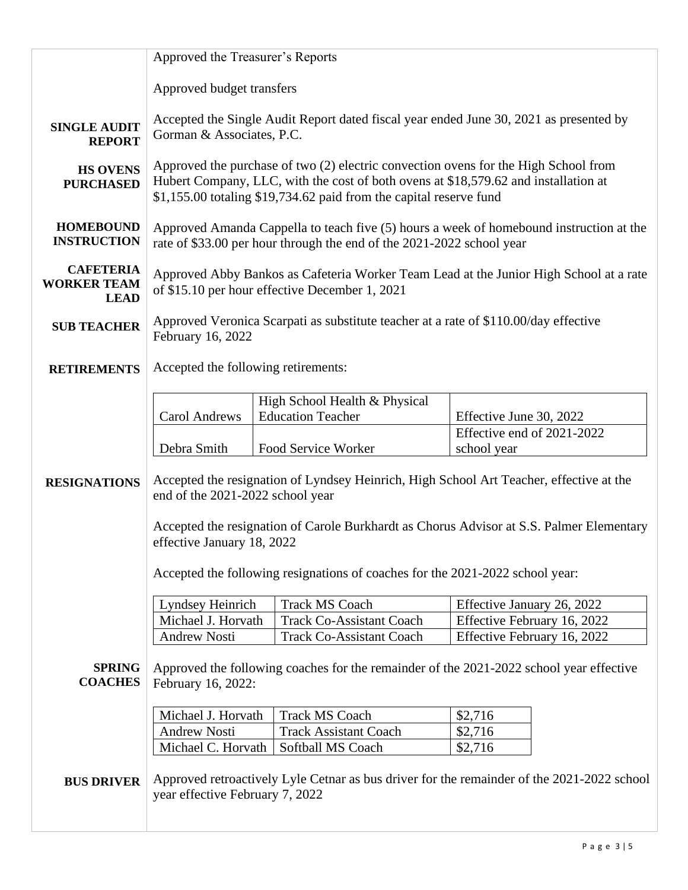|                                                       | Approved the Treasurer's Reports                                                                                                                                                                                                                 |  |                                 |                             |  |  |
|-------------------------------------------------------|--------------------------------------------------------------------------------------------------------------------------------------------------------------------------------------------------------------------------------------------------|--|---------------------------------|-----------------------------|--|--|
|                                                       | Approved budget transfers                                                                                                                                                                                                                        |  |                                 |                             |  |  |
| <b>SINGLE AUDIT</b><br><b>REPORT</b>                  | Accepted the Single Audit Report dated fiscal year ended June 30, 2021 as presented by<br>Gorman & Associates, P.C.                                                                                                                              |  |                                 |                             |  |  |
| <b>HS OVENS</b><br><b>PURCHASED</b>                   | Approved the purchase of two (2) electric convection ovens for the High School from<br>Hubert Company, LLC, with the cost of both ovens at \$18,579.62 and installation at<br>\$1,155.00 totaling \$19,734.62 paid from the capital reserve fund |  |                                 |                             |  |  |
| <b>HOMEBOUND</b><br><b>INSTRUCTION</b>                | Approved Amanda Cappella to teach five (5) hours a week of homebound instruction at the<br>rate of \$33.00 per hour through the end of the 2021-2022 school year                                                                                 |  |                                 |                             |  |  |
| <b>CAFETERIA</b><br><b>WORKER TEAM</b><br><b>LEAD</b> | Approved Abby Bankos as Cafeteria Worker Team Lead at the Junior High School at a rate<br>of \$15.10 per hour effective December 1, 2021                                                                                                         |  |                                 |                             |  |  |
| <b>SUB TEACHER</b>                                    | Approved Veronica Scarpati as substitute teacher at a rate of \$110.00/day effective<br>February 16, 2022                                                                                                                                        |  |                                 |                             |  |  |
| <b>RETIREMENTS</b>                                    | Accepted the following retirements:                                                                                                                                                                                                              |  |                                 |                             |  |  |
|                                                       |                                                                                                                                                                                                                                                  |  | High School Health & Physical   |                             |  |  |
|                                                       | <b>Carol Andrews</b>                                                                                                                                                                                                                             |  | <b>Education Teacher</b>        | Effective June 30, 2022     |  |  |
|                                                       |                                                                                                                                                                                                                                                  |  |                                 | Effective end of 2021-2022  |  |  |
|                                                       | Debra Smith                                                                                                                                                                                                                                      |  | Food Service Worker             | school year                 |  |  |
| <b>RESIGNATIONS</b>                                   | Accepted the resignation of Lyndsey Heinrich, High School Art Teacher, effective at the<br>end of the 2021-2022 school year                                                                                                                      |  |                                 |                             |  |  |
|                                                       | Accepted the resignation of Carole Burkhardt as Chorus Advisor at S.S. Palmer Elementary<br>effective January 18, 2022                                                                                                                           |  |                                 |                             |  |  |
|                                                       | Accepted the following resignations of coaches for the 2021-2022 school year:                                                                                                                                                                    |  |                                 |                             |  |  |
|                                                       | <b>Lyndsey Heinrich</b>                                                                                                                                                                                                                          |  | <b>Track MS Coach</b>           | Effective January 26, 2022  |  |  |
|                                                       | Michael J. Horvath                                                                                                                                                                                                                               |  | <b>Track Co-Assistant Coach</b> | Effective February 16, 2022 |  |  |
|                                                       | <b>Andrew Nosti</b>                                                                                                                                                                                                                              |  | <b>Track Co-Assistant Coach</b> | Effective February 16, 2022 |  |  |
| <b>SPRING</b><br><b>COACHES</b>                       | Approved the following coaches for the remainder of the 2021-2022 school year effective<br>February 16, 2022:                                                                                                                                    |  |                                 |                             |  |  |
|                                                       | Michael J. Horvath                                                                                                                                                                                                                               |  | <b>Track MS Coach</b>           | \$2,716                     |  |  |
|                                                       | <b>Andrew Nosti</b>                                                                                                                                                                                                                              |  | <b>Track Assistant Coach</b>    | \$2,716                     |  |  |
|                                                       | Michael C. Horvath                                                                                                                                                                                                                               |  | Softball MS Coach               | \$2,716                     |  |  |
| <b>BUS DRIVER</b>                                     | Approved retroactively Lyle Cetnar as bus driver for the remainder of the 2021-2022 school<br>year effective February 7, 2022                                                                                                                    |  |                                 |                             |  |  |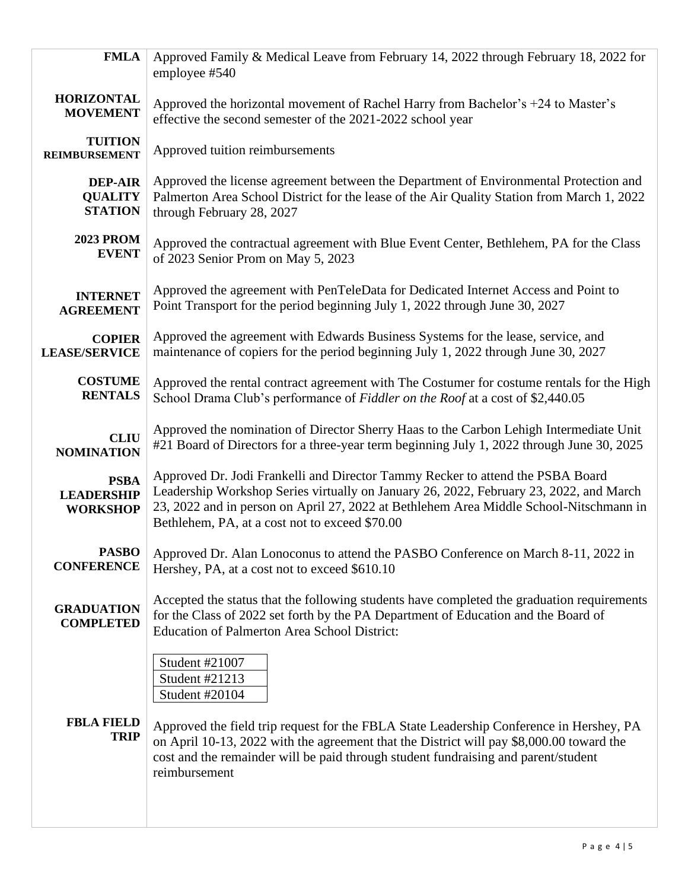| employee #540                                                                                                                                                                                                                                                                                                                                    |  |  |
|--------------------------------------------------------------------------------------------------------------------------------------------------------------------------------------------------------------------------------------------------------------------------------------------------------------------------------------------------|--|--|
| Approved the horizontal movement of Rachel Harry from Bachelor's +24 to Master's<br>effective the second semester of the 2021-2022 school year                                                                                                                                                                                                   |  |  |
| Approved tuition reimbursements                                                                                                                                                                                                                                                                                                                  |  |  |
| Approved the license agreement between the Department of Environmental Protection and<br>Palmerton Area School District for the lease of the Air Quality Station from March 1, 2022<br>through February 28, 2027                                                                                                                                 |  |  |
| Approved the contractual agreement with Blue Event Center, Bethlehem, PA for the Class<br>of 2023 Senior Prom on May 5, 2023                                                                                                                                                                                                                     |  |  |
| Approved the agreement with PenTeleData for Dedicated Internet Access and Point to<br>Point Transport for the period beginning July 1, 2022 through June 30, 2027                                                                                                                                                                                |  |  |
| Approved the agreement with Edwards Business Systems for the lease, service, and<br>maintenance of copiers for the period beginning July 1, 2022 through June 30, 2027                                                                                                                                                                           |  |  |
| Approved the rental contract agreement with The Costumer for costume rentals for the High<br>School Drama Club's performance of Fiddler on the Roof at a cost of \$2,440.05                                                                                                                                                                      |  |  |
| Approved the nomination of Director Sherry Haas to the Carbon Lehigh Intermediate Unit<br>#21 Board of Directors for a three-year term beginning July 1, 2022 through June 30, 2025                                                                                                                                                              |  |  |
| Approved Dr. Jodi Frankelli and Director Tammy Recker to attend the PSBA Board<br>Leadership Workshop Series virtually on January 26, 2022, February 23, 2022, and March<br>23, 2022 and in person on April 27, 2022 at Bethlehem Area Middle School-Nitschmann in<br>Bethlehem, PA, at a cost not to exceed \$70.00                             |  |  |
| Approved Dr. Alan Lonoconus to attend the PASBO Conference on March 8-11, 2022 in<br>Hershey, PA, at a cost not to exceed \$610.10                                                                                                                                                                                                               |  |  |
| Accepted the status that the following students have completed the graduation requirements<br>for the Class of 2022 set forth by the PA Department of Education and the Board of<br><b>Education of Palmerton Area School District:</b>                                                                                                          |  |  |
| Student #21007<br>Student #21213<br>Student #20104<br>Approved the field trip request for the FBLA State Leadership Conference in Hershey, PA<br>on April 10-13, 2022 with the agreement that the District will pay \$8,000.00 toward the<br>cost and the remainder will be paid through student fundraising and parent/student<br>reimbursement |  |  |
|                                                                                                                                                                                                                                                                                                                                                  |  |  |